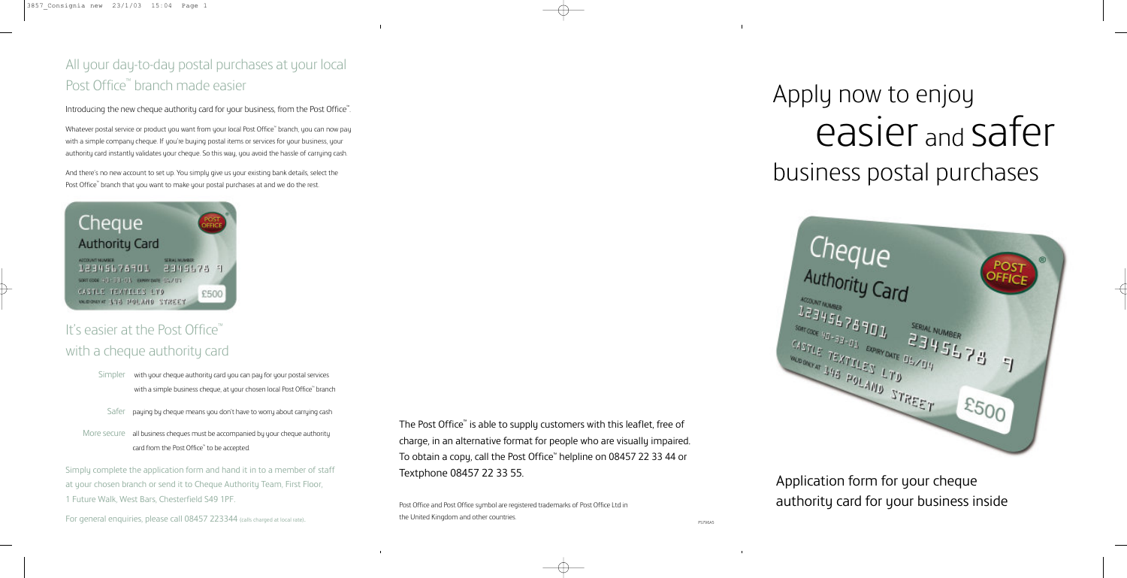# Apply now to enjoy easier and safer business postal purchases

Cheque Authority Card ACCOUNT NUMBER  $\frac{12345678701}{46434401}$  $\begin{array}{lll} \begin{array}{lll} \text{SERIAL NUM} \\ \text{Silt} & \text{SDE} & \text{MSE} \\ \text{Silt} & \text{MSE} & \text{MSE} \\ \text{Silt} & \text{MSE} & \text{MSE} \\ \text{Silt} & \text{MSE} & \text{MSE} \\ \text{Silt} & \text{MSE} & \text{MSE} \\ \text{Silt} & \text{MSE} & \text{MSE} \\ \text{Silt} & \text{MSE} & \text{MSE} \\ \text{Silt} & \text{MSE} & \text{MSE} \\ \text{Silt} & \text{MSE} & \text{MSE} \\ \text{S$  $2345678$ CASTLE TEXTILES LTD MODONCE TEXTILES LTD STREET  $E500$ 

Application form for your cheque authority card for your business inside

The Post Office<sup>™</sup> is able to supply customers with this leaflet, free of charge, in an alternative format for people who are visually impaired. To obtain a copy, call the Post Office™ helpline on 08457 22 33 44 or Textphone 08457 22 33 55.

# All your day-to-day postal purchases at your local Post Office<sup>™</sup> branch made easier

Introducing the new cheque authority card for your business, from the Post Office™. .

> Post Office and Post Office symbol are registered trademarks of Post Office Ltd in the United Kingdom and other countries.

And there's no new account to set up. You simply give us your existing bank details, select the Post Office<sup>™</sup> branch that you want to make your postal purchases at and we do the rest.



# It's easier at the Post Office® with a cheque authority card

- Simpler with your cheque authority card you can pay for your postal services with a simple business cheque, at your chosen local Post Office™ branch
- Safer paying by cheque means you don't have to worry about carrying cash
- More secure all business cheques must be accompanied by your cheque authority card from the Post Office™ to be accepted.

Whatever postal service or product you want from your local Post Office™ branch, you can now pay with a simple company cheque. If you're buying postal items or services for your business, your authority card instantly validates your cheque. So this way, you avoid the hassle of carrying cash.

Simply complete the application form and hand it in to a member of staff at your chosen branch or send it to Cheque Authority Team, First Floor, 1 Future Walk, West Bars, Chesterfield S49 1PF.

For general enquiries, please call 08457 223344 (calls charged at local rate).